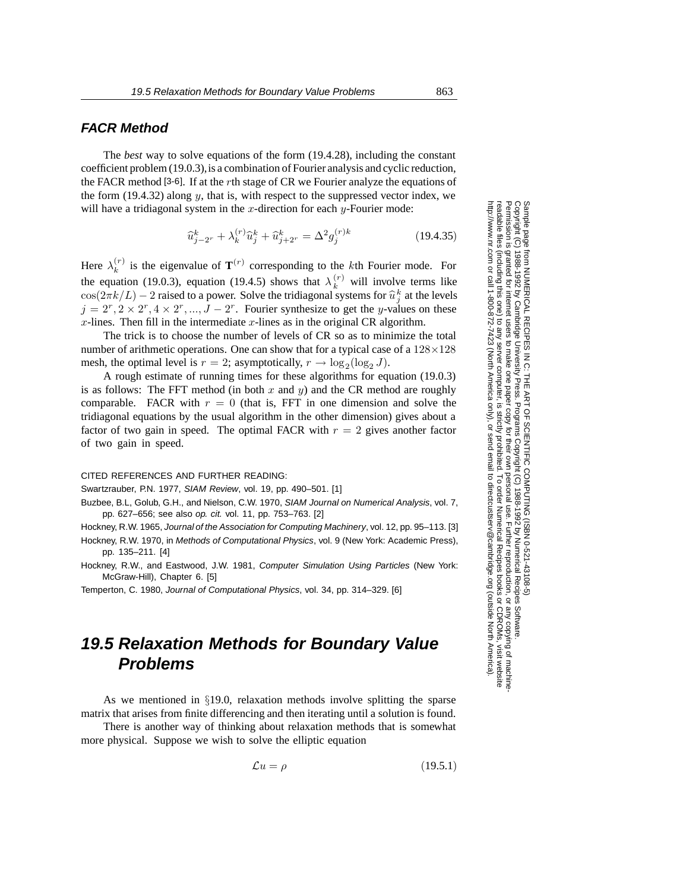### **FACR Method**

The *best* way to solve equations of the form (19.4.28), including the constant coefficient problem (19.0.3),is a combination of Fourier analysis and cyclic reduction, the FACR method [3-6]. If at the  $r$ th stage of CR we Fourier analyze the equations of the form  $(19.4.32)$  along y, that is, with respect to the suppressed vector index, we will have a tridiagonal system in the  $x$ -direction for each  $y$ -Fourier mode:

$$
\widehat{u}_{j-2r}^k + \lambda_k^{(r)} \widehat{u}_j^k + \widehat{u}_{j+2r}^k = \Delta^2 g_j^{(r)k}
$$
\n(19.4.35)

Here  $\lambda_k^{(r)}$  is the eigenvalue of  $\mathbf{T}^{(r)}$  corresponding to the kth Fourier mode. For the equation (19.0.3), equation (19.4.5) shows that  $\lambda_k^{(r)}$  will involve terms like  $cos(2\pi k/L) - 2$  raised to a power. Solve the tridiagonal systems for  $\hat{u}_j^k$  at the levels  $i - 2^r$ ,  $2 \times 2^r$ ,  $4 \times 2^r$ ,  $L = 2^r$ . Fourier synthesize to get the *u*-values on these  $j = 2^r, 2 \times 2^r, 4 \times 2^r, ..., J - 2^r$ . Fourier synthesize to get the y-values on these  $x$ -lines. Then fill in the intermediate  $x$ -lines as in the original CR algorithm.

The trick is to choose the number of levels of CR so as to minimize the total number of arithmetic operations. One can show that for a typical case of a  $128\times128$ mesh, the optimal level is  $r = 2$ ; asymptotically,  $r \rightarrow \log_2(\log_2 J)$ .

A rough estimate of running times for these algorithms for equation (19.0.3) is as follows: The FFT method (in both  $x$  and  $y$ ) and the CR method are roughly comparable. FACR with  $r = 0$  (that is, FFT in one dimension and solve the tridiagonal equations by the usual algorithm in the other dimension) gives about a factor of two gain in speed. The optimal FACR with  $r = 2$  gives another factor of two gain in speed.

#### CITED REFERENCES AND FURTHER READING:

Swartzrauber, P.N. 1977, SIAM Review, vol. 19, pp. 490–501. [1]

Buzbee, B.L, Golub, G.H., and Nielson, C.W. 1970, SIAM Journal on Numerical Analysis, vol. 7, pp. 627–656; see also op. cit. vol. 11, pp. 753–763. [2]

Hockney, R.W. 1965, Journal of the Association for Computing Machinery, vol. 12, pp. 95–113. [3]

Hockney, R.W. 1970, in Methods of Computational Physics, vol. 9 (New York: Academic Press), pp. 135–211. [4]

Hockney, R.W., and Eastwood, J.W. 1981, Computer Simulation Using Particles (New York: McGraw-Hill), Chapter 6. [5]

Temperton, C. 1980, Journal of Computational Physics, vol. 34, pp. 314–329. [6]

# **19.5 Relaxation Methods for Boundary Value Problems**

As we mentioned in §19.0, relaxation methods involve splitting the sparse matrix that arises from finite differencing and then iterating until a solution is found.

There is another way of thinking about relaxation methods that is somewhat more physical. Suppose we wish to solve the elliptic equation

$$
\mathcal{L}u = \rho \tag{19.5.1}
$$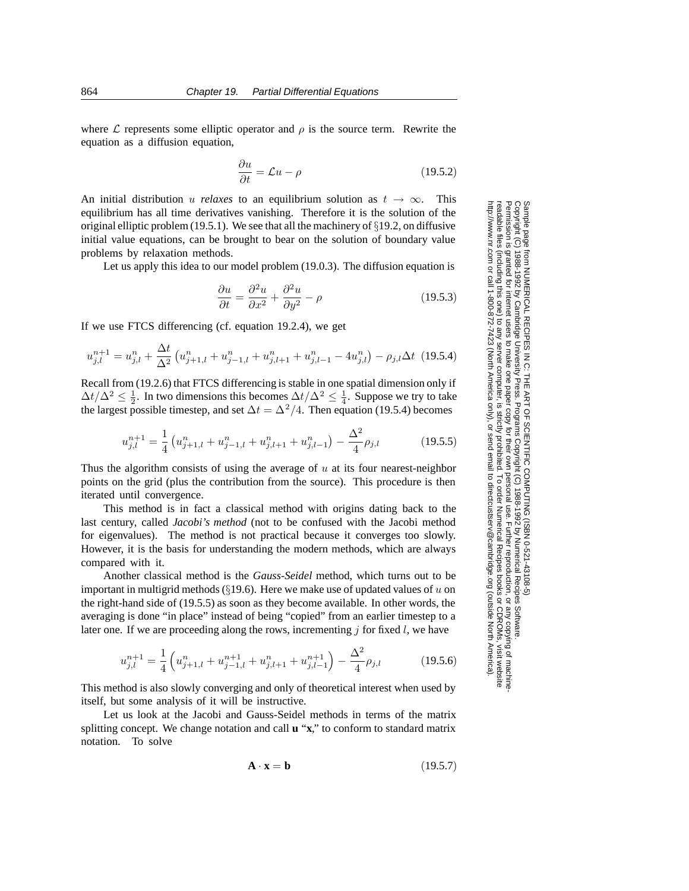where  $\mathcal L$  represents some elliptic operator and  $\rho$  is the source term. Rewrite the equation as a diffusion equation,

$$
\frac{\partial u}{\partial t} = \mathcal{L}u - \rho \tag{19.5.2}
$$

An initial distribution u *relaxes* to an equilibrium solution as  $t \to \infty$ . This equilibrium has all time derivatives vanishing. Therefore it is the solution of the original elliptic problem (19.5.1). We see that all the machinery of  $\S 19.2$ , on diffusive initial value equations, can be brought to bear on the solution of boundary value problems by relaxation methods.

Let us apply this idea to our model problem (19.0.3). The diffusion equation is

$$
\frac{\partial u}{\partial t} = \frac{\partial^2 u}{\partial x^2} + \frac{\partial^2 u}{\partial y^2} - \rho \tag{19.5.3}
$$

If we use FTCS differencing (cf. equation 19.2.4), we get

$$
u_{j,l}^{n+1} = u_{j,l}^{n} + \frac{\Delta t}{\Delta^2} \left( u_{j+1,l}^{n} + u_{j-1,l}^{n} + u_{j,l+1}^{n} + u_{j,l-1}^{n} - 4u_{j,l}^{n} \right) - \rho_{j,l} \Delta t \tag{19.5.4}
$$

Recall from (19.2.6) that FTCS differencing is stable in one spatial dimension only if  $\Delta t/\Delta^2 \leq \frac{1}{2}$ . In two dimensions this becomes  $\Delta t/\Delta^2 \leq \frac{1}{4}$ . Suppose we try to take the largest possible timestep, and set  $\Delta t = \Delta^2/4$ . Then equation (19.5.4) becomes

$$
u_{j,l}^{n+1} = \frac{1}{4} \left( u_{j+1,l}^n + u_{j-1,l}^n + u_{j,l+1}^n + u_{j,l-1}^n \right) - \frac{\Delta^2}{4} \rho_{j,l}
$$
 (19.5.5)

Thus the algorithm consists of using the average of  $u$  at its four nearest-neighbor points on the grid (plus the contribution from the source). This procedure is then iterated until convergence.

This method is in fact a classical method with origins dating back to the last century, called *Jacobi's method* (not to be confused with the Jacobi method for eigenvalues). The method is not practical because it converges too slowly. However, it is the basis for understanding the modern methods, which are always compared with it.

Another classical method is the *Gauss-Seidel* method, which turns out to be important in multigrid methods ( $\S$ 19.6). Here we make use of updated values of u on the right-hand side of (19.5.5) as soon as they become available. In other words, the averaging is done "in place" instead of being "copied" from an earlier timestep to a later one. If we are proceeding along the rows, incrementing  $j$  for fixed  $l$ , we have

$$
u_{j,l}^{n+1} = \frac{1}{4} \left( u_{j+1,l}^n + u_{j-1,l}^{n+1} + u_{j,l+1}^n + u_{j,l-1}^{n+1} \right) - \frac{\Delta^2}{4} \rho_{j,l}
$$
 (19.5.6)

This method is also slowly converging and only of theoretical interest when used by itself, but some analysis of it will be instructive.

Let us look at the Jacobi and Gauss-Seidel methods in terms of the matrix splitting concept. We change notation and call **u** "**x**," to conform to standard matrix notation. To solve

$$
\mathbf{A} \cdot \mathbf{x} = \mathbf{b} \tag{19.5.7}
$$

Permission is granted for internet users to make one paper copy for their own personal use. Further reproduction, or any copyin Copyright (C) 1988-1992 by Cambridge University Press.Programs Copyright (C) 1988-1992 by Numerical Recipes Software. g of machinereadable files (including this one) to any servercomputer, is strictly prohibited. To order Numerical Recipes booksor CDROMs, visit website http://www.nr.com or call 1-800-872-7423 (North America only),or send email to directcustserv@cambridge.org (outside North America).

Sample page from NUMERICAL RECIPES IN C: THE ART OF SCIENTIFIC COMPUTING (ISBN 0-521-43108-5)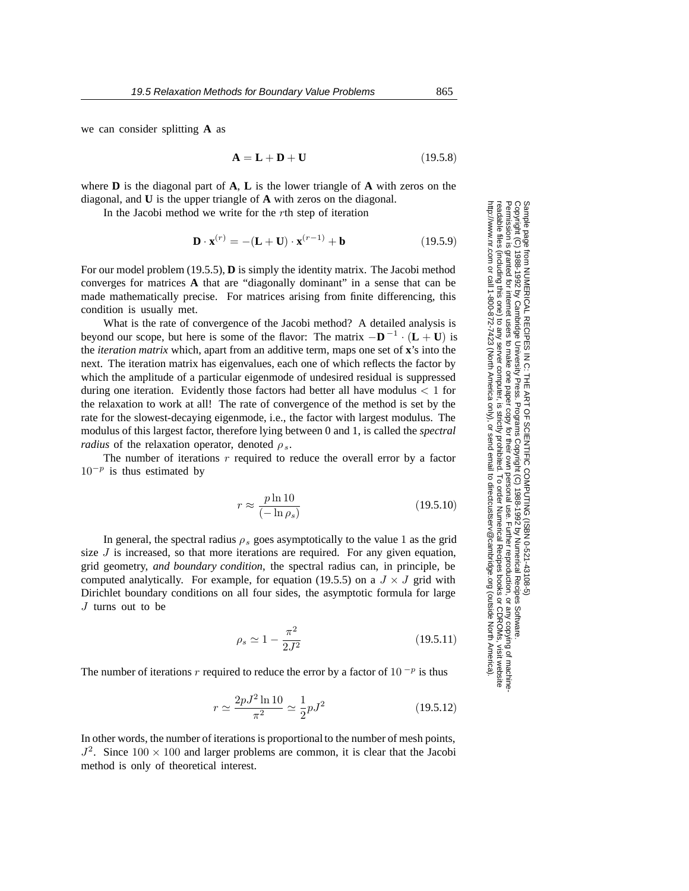we can consider splitting **A** as

$$
\mathbf{A} = \mathbf{L} + \mathbf{D} + \mathbf{U} \tag{19.5.8}
$$

where **D** is the diagonal part of **A**, **L** is the lower triangle of **A** with zeros on the diagonal, and **U** is the upper triangle of **A** with zeros on the diagonal.

In the Jacobi method we write for the rth step of iteration

$$
\mathbf{D} \cdot \mathbf{x}^{(r)} = -(\mathbf{L} + \mathbf{U}) \cdot \mathbf{x}^{(r-1)} + \mathbf{b}
$$
 (19.5.9)

For our model problem (19.5.5), **D** is simply the identity matrix. The Jacobi method converges for matrices **A** that are "diagonally dominant" in a sense that can be made mathematically precise. For matrices arising from finite differencing, this condition is usually met.

What is the rate of convergence of the Jacobi method? A detailed analysis is beyond our scope, but here is some of the flavor: The matrix  $-\mathbf{D}^{-1} \cdot (\mathbf{L} + \mathbf{U})$  is the *iteration matrix* which, apart from an additive term, maps one set of **x**'s into the next. The iteration matrix has eigenvalues, each one of which reflects the factor by which the amplitude of a particular eigenmode of undesired residual is suppressed during one iteration. Evidently those factors had better all have modulus  $< 1$  for the relaxation to work at all! The rate of convergence of the method is set by the rate for the slowest-decaying eigenmode, i.e., the factor with largest modulus. The modulus of this largest factor, therefore lying between 0 and 1, is called the *spectral radius* of the relaxation operator, denoted  $\rho_s$ .

The number of iterations  $r$  required to reduce the overall error by a factor <sup>10</sup><sup>−</sup>*<sup>p</sup>* is thus estimated by

$$
r \approx \frac{p \ln 10}{(-\ln \rho_s)}\tag{19.5.10}
$$

In general, the spectral radius  $\rho_s$  goes asymptotically to the value 1 as the grid size  $J$  is increased, so that more iterations are required. For any given equation, grid geometry, *and boundary condition*, the spectral radius can, in principle, be computed analytically. For example, for equation (19.5.5) on a  $J \times J$  grid with Dirichlet boundary conditions on all four sides, the asymptotic formula for large J turns out to be

$$
\rho_s \simeq 1 - \frac{\pi^2}{2J^2} \tag{19.5.11}
$$

The number of iterations r required to reduce the error by a factor of  $10^{-p}$  is thus

$$
r \simeq \frac{2pJ^2 \ln 10}{\pi^2} \simeq \frac{1}{2}pJ^2 \tag{19.5.12}
$$

In other words, the number of iterations is proportional to the number of mesh points,  $J^2$ . Since  $100 \times 100$  and larger problems are common, it is clear that the Jacobi method is only of theoretical interest.

Sample page 1<br>Copyright (C) Copyright (C) 1988-1992 by Cambridge University Press.Sample page from NUMERICAL RECIPES IN C: THE ART OF SCIENTIFIC COMPUTING (ISBN 0-521-43108-5) http://www.nr.com or call 1-800-872-7423 (North America only),readable files (including this one) to any serverPermission is granted for internet users to make one paper copy for their own personal use. Further reproduction, or any copyin from NUMERICAL RECIPES IN C. THE ART OF SCIENTIFIC COMPUTING (ISBN 0-521-43108-5)<br>1988-1992 by Cambridge University Press. Programs Copyright (C) 1989-1992 by Numnerical Recipes Software computer, is strictly prohibited. To order Numerical Recipes booksPrograms Copyright (C) 1988-1992 by Numerical Recipes Software. or send email to directcustserv@cambridge.org (outside North America). or CDROMs, visit website g of machine-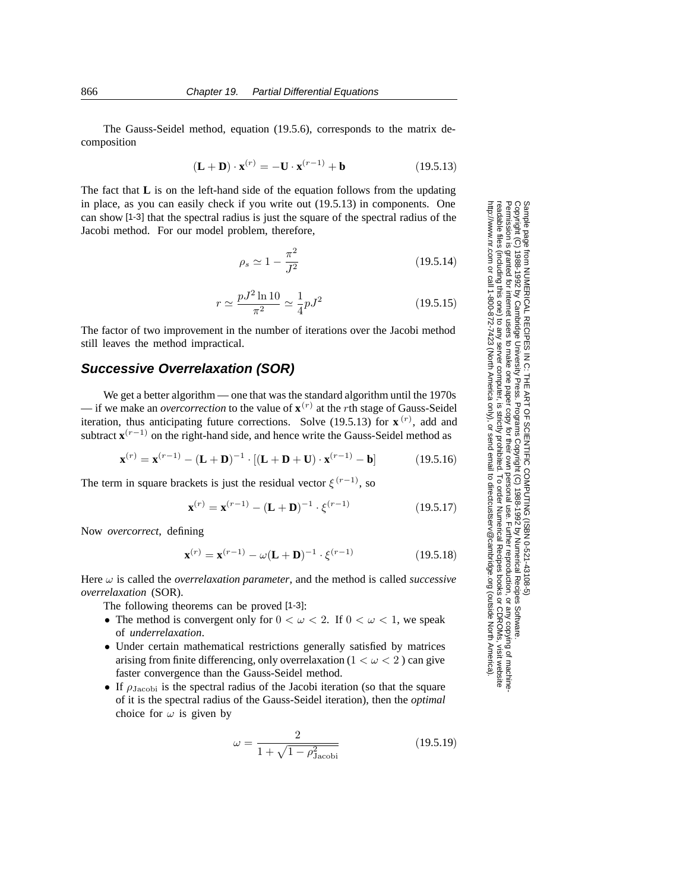The Gauss-Seidel method, equation (19.5.6), corresponds to the matrix decomposition

$$
(\mathbf{L} + \mathbf{D}) \cdot \mathbf{x}^{(r)} = -\mathbf{U} \cdot \mathbf{x}^{(r-1)} + \mathbf{b}
$$
 (19.5.13)

The fact that **L** is on the left-hand side of the equation follows from the updating in place, as you can easily check if you write out (19.5.13) in components. One can show [1-3] that the spectral radius is just the square of the spectral radius of the Jacobi method. For our model problem, therefore,

$$
\rho_s \simeq 1 - \frac{\pi^2}{J^2} \tag{19.5.14}
$$

$$
r \simeq \frac{pJ^2 \ln 10}{\pi^2} \simeq \frac{1}{4} pJ^2 \tag{19.5.15}
$$

The factor of two improvement in the number of iterations over the Jacobi method still leaves the method impractical.

### **Successive Overrelaxation (SOR)**

We get a better algorithm — one that was the standard algorithm until the 1970s — if we make an *overcorrection* to the value of  $\mathbf{x}^{(r)}$  at the *r*th stage of Gauss-Seidel iteration, thus anticipating future corrections. Solve  $(19.5.13)$  for  $\mathbf{x}^{(r)}$ , add and subtract  $\mathbf{x}^{(r-1)}$  on the right-hand side, and hence write the Gauss-Seidel method as

$$
\mathbf{x}^{(r)} = \mathbf{x}^{(r-1)} - (\mathbf{L} + \mathbf{D})^{-1} \cdot [(\mathbf{L} + \mathbf{D} + \mathbf{U}) \cdot \mathbf{x}^{(r-1)} - \mathbf{b}] \tag{19.5.16}
$$

The term in square brackets is just the residual vector  $\xi^{(r-1)}$ , so

$$
\mathbf{x}^{(r)} = \mathbf{x}^{(r-1)} - (\mathbf{L} + \mathbf{D})^{-1} \cdot \xi^{(r-1)}
$$
(19.5.17)

Now *overcorrect*, defining

$$
\mathbf{x}^{(r)} = \mathbf{x}^{(r-1)} - \omega(\mathbf{L} + \mathbf{D})^{-1} \cdot \xi^{(r-1)}
$$
(19.5.18)

Here ω is called the *overrelaxation parameter*, and the method is called *successive overrelaxation* (SOR).

The following theorems can be proved [1-3]:

- The method is convergent only for  $0 < \omega < 2$ . If  $0 < \omega < 1$ , we speak of *underrelaxation*.
- Under certain mathematical restrictions generally satisfied by matrices arising from finite differencing, only overrelaxation ( $1 < \omega < 2$ ) can give faster convergence than the Gauss-Seidel method.
- If  $\rho_{\text{Jacobi}}$  is the spectral radius of the Jacobi iteration (so that the square of it is the spectral radius of the Gauss-Seidel iteration), then the *optimal* choice for  $\omega$  is given by

$$
\omega = \frac{2}{1 + \sqrt{1 - \rho_{\text{Jacobi}}^2}} \tag{19.5.19}
$$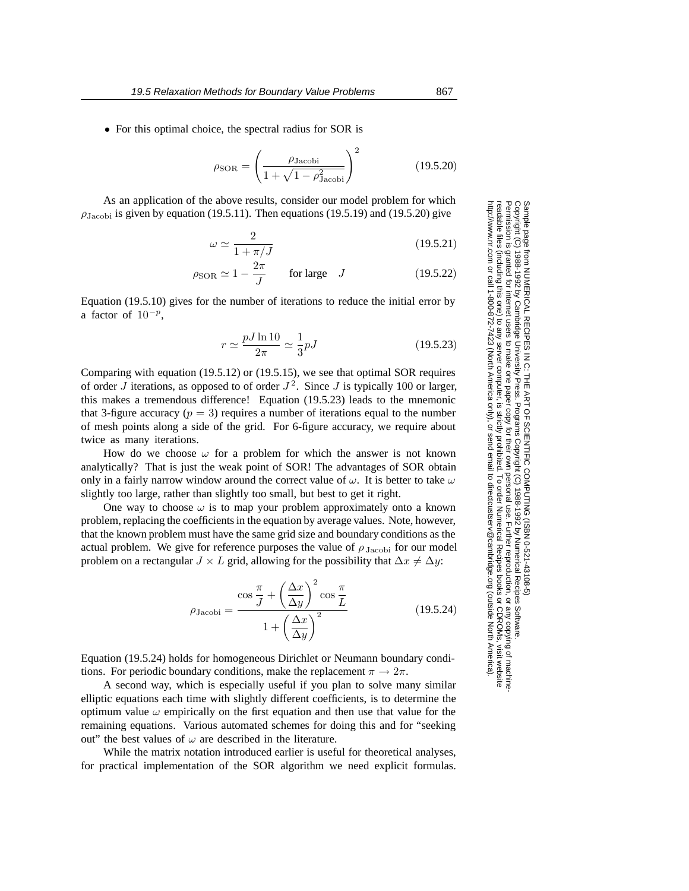$$
\rho_{\text{SOR}} = \left(\frac{\rho_{\text{Jacobi}}}{1 + \sqrt{1 - \rho_{\text{Jacobi}}^2}}\right)^2 \tag{19.5.20}
$$

As an application of the above results, consider our model problem for which  $\rho_{\text{Jacobi}}$  is given by equation (19.5.11). Then equations (19.5.19) and (19.5.20) give

$$
\omega \simeq \frac{2}{1 + \pi/J} \tag{19.5.21}
$$

$$
\rho_{\text{SOR}} \simeq 1 - \frac{2\pi}{J} \qquad \text{for large} \quad J \tag{19.5.22}
$$

Equation (19.5.10) gives for the number of iterations to reduce the initial error by a factor of <sup>10</sup><sup>−</sup>*<sup>p</sup>*,

$$
r \simeq \frac{pJ\ln 10}{2\pi} \simeq \frac{1}{3}pJ\tag{19.5.23}
$$

Comparing with equation (19.5.12) or (19.5.15), we see that optimal SOR requires of order  $\overline{J}$  iterations, as opposed to of order  $J^2$ . Since  $\overline{J}$  is typically 100 or larger, this makes a tremendous difference! Equation (19.5.23) leads to the mnemonic that 3-figure accuracy ( $p = 3$ ) requires a number of iterations equal to the number of mesh points along a side of the grid. For 6-figure accuracy, we require about twice as many iterations.

How do we choose  $\omega$  for a problem for which the answer is not known analytically? That is just the weak point of SOR! The advantages of SOR obtain only in a fairly narrow window around the correct value of  $\omega$ . It is better to take  $\omega$ slightly too large, rather than slightly too small, but best to get it right.

One way to choose  $\omega$  is to map your problem approximately onto a known problem, replacing the coefficients in the equation by average values. Note, however, that the known problem must have the same grid size and boundary conditions as the actual problem. We give for reference purposes the value of  $\rho_{\text{Jacobi}}$  for our model problem on a rectangular  $J \times L$  grid, allowing for the possibility that  $\Delta x \neq \Delta y$ :

$$
\rho_{\text{Jacobi}} = \frac{\cos\frac{\pi}{J} + \left(\frac{\Delta x}{\Delta y}\right)^2 \cos\frac{\pi}{L}}{1 + \left(\frac{\Delta x}{\Delta y}\right)^2} \tag{19.5.24}
$$

Equation (19.5.24) holds for homogeneous Dirichlet or Neumann boundary conditions. For periodic boundary conditions, make the replacement  $\pi \to 2\pi$ .

A second way, which is especially useful if you plan to solve many similar elliptic equations each time with slightly different coefficients, is to determine the optimum value  $\omega$  empirically on the first equation and then use that value for the remaining equations. Various automated schemes for doing this and for "seeking out" the best values of  $\omega$  are described in the literature.

While the matrix notation introduced earlier is useful for theoretical analyses, for practical implementation of the SOR algorithm we need explicit formulas.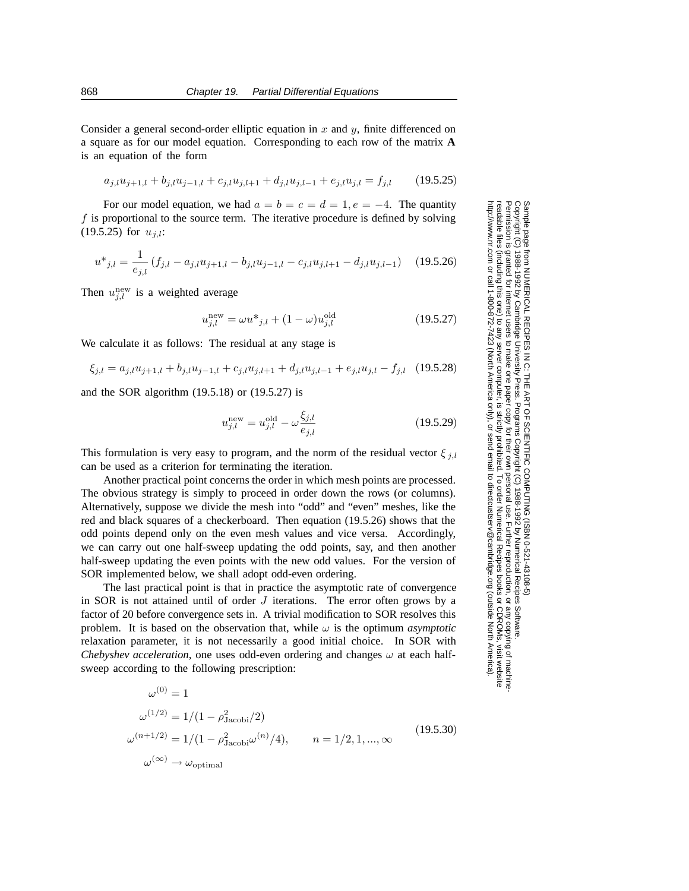Consider a general second-order elliptic equation in  $x$  and  $y$ , finite differenced on a square as for our model equation. Corresponding to each row of the matrix **A** is an equation of the form

$$
a_{j,l}u_{j+1,l} + b_{j,l}u_{j-1,l} + c_{j,l}u_{j,l+1} + d_{j,l}u_{j,l-1} + e_{j,l}u_{j,l} = f_{j,l} \qquad (19.5.25)
$$

For our model equation, we had  $a = b = c = d = 1, e = -4$ . The quantity f is proportional to the source term. The iterative procedure is defined by solving (19.5.25) for u*j,l*:

$$
u^*_{j,l} = \frac{1}{e_{j,l}} \left( f_{j,l} - a_{j,l} u_{j+1,l} - b_{j,l} u_{j-1,l} - c_{j,l} u_{j,l+1} - d_{j,l} u_{j,l-1} \right) \tag{19.5.26}
$$

Then  $u_{j,l}^{\text{new}}$  is a weighted average

$$
u_{j,l}^{\text{new}} = \omega u_{j,l} + (1 - \omega) u_{j,l}^{\text{old}}
$$
 (19.5.27)

We calculate it as follows: The residual at any stage is

$$
\xi_{j,l} = a_{j,l} u_{j+1,l} + b_{j,l} u_{j-1,l} + c_{j,l} u_{j,l+1} + d_{j,l} u_{j,l-1} + e_{j,l} u_{j,l} - f_{j,l} \quad (19.5.28)
$$

and the SOR algorithm (19.5.18) or (19.5.27) is

$$
u_{j,l}^{\text{new}} = u_{j,l}^{\text{old}} - \omega \frac{\xi_{j,l}}{e_{j,l}} \tag{19.5.29}
$$

This formulation is very easy to program, and the norm of the residual vector  $\xi_{j,l}$ can be used as a criterion for terminating the iteration.

Another practical point concerns the order in which mesh points are processed. The obvious strategy is simply to proceed in order down the rows (or columns). Alternatively, suppose we divide the mesh into "odd" and "even" meshes, like the red and black squares of a checkerboard. Then equation (19.5.26) shows that the odd points depend only on the even mesh values and vice versa. Accordingly, we can carry out one half-sweep updating the odd points, say, and then another half-sweep updating the even points with the new odd values. For the version of SOR implemented below, we shall adopt odd-even ordering.

The last practical point is that in practice the asymptotic rate of convergence in SOR is not attained until of order  $J$  iterations. The error often grows by a factor of 20 before convergence sets in. A trivial modification to SOR resolves this problem. It is based on the observation that, while  $\omega$  is the optimum *asymptotic* relaxation parameter, it is not necessarily a good initial choice. In SOR with *Chebyshev acceleration*, one uses odd-even ordering and changes  $\omega$  at each halfsweep according to the following prescription:

$$
\omega^{(0)} = 1
$$
  
\n
$$
\omega^{(1/2)} = 1/(1 - \rho_{\text{Jacobi}}^2/2)
$$
  
\n
$$
\omega^{(n+1/2)} = 1/(1 - \rho_{\text{Jacobi}}^2 \omega^{(n)}/4), \qquad n = 1/2, 1, ..., \infty
$$
  
\n
$$
\omega^{(\infty)} \to \omega_{\text{optimal}}
$$
\n(19.5.30)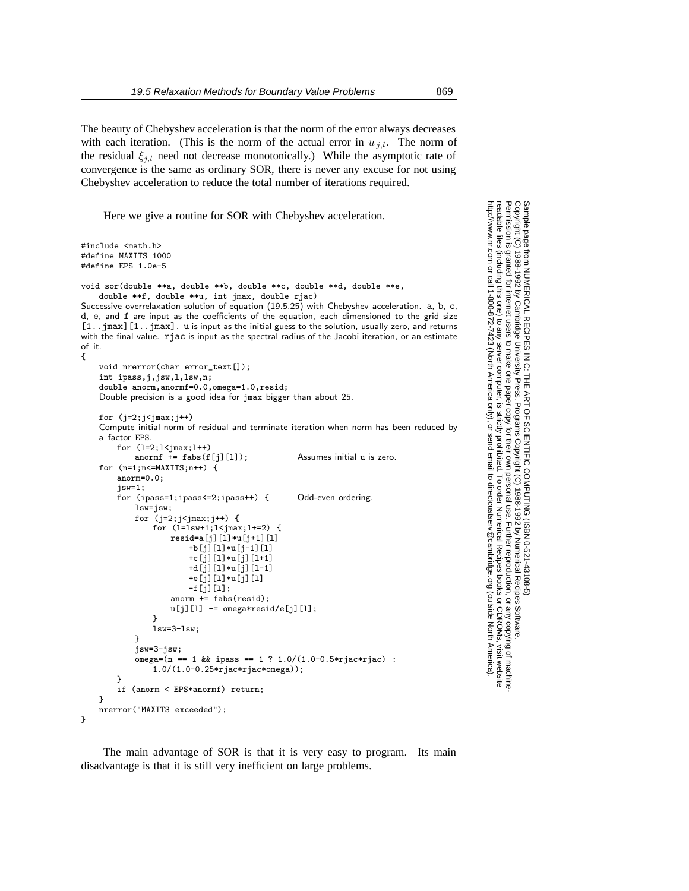The beauty of Chebyshev acceleration is that the norm of the error always decreases with each iteration. (This is the norm of the actual error in  $u_{j,l}$ . The norm of the residual  $\xi_{i,l}$  need not decrease monotonically.) While the asymptotic rate of convergence is the same as ordinary SOR, there is never any excuse for not using Chebyshev acceleration to reduce the total number of iterations required.

Here we give a routine for SOR with Chebyshev acceleration.

```
#include <math.h>
#define MAXITS 1000
#define EPS 1.0e-5
void sor(double **a, double **b, double **c, double **d, double **e,
    double **f, double **u, int jmax, double rjac)
Successive overrelaxation solution of equation (19.5.25) with Chebyshev acceleration. a, b, c,
d, e, and f are input as the coefficients of the equation, each dimensioned to the grid size
[1..jmax][1..jmax]. u is input as the initial guess to the solution, usually zero, and returns
with the final value. rjac is input as the spectral radius of the Jacobi iteration, or an estimate
of it.
{
    void nrerror(char error_text[]);
    int ipass,j,jsw,l,lsw,n;
    double anorm,anormf=0.0,omega=1.0,resid;
    Double precision is a good idea for jmax bigger than about 25.
    for (j=2; j < jmax; j++)Compute initial norm of residual and terminate iteration when norm has been reduced by
    a factor EPS.
        for (l=2; l< jmax; l++)anormf += fabs(f[j][1]); Assumes initial u is zero.
    for (n=1; n<=MAXITS; n++) {
        anorm=0.0;
        jsw=1;
        for (ipass=1;ipass<=2;ipass++) { Odd-even ordering.
            lsw=jsw;
            for (j=2;j< jmax;j++) {
                for (l=lsw+1; l< jmax; l+=2) {
                    resid = a[j][1]*u[j+1][1]+b[j][l]*u[j-1][l]
                        +c[j][l]*u[j][l+1]
                        +d[j][l]*u[j][l-1]
                        +e[j][l]*u[j][l]
                        -f[j][l];
                    anorm += fabs(resid);
                    u[i][1] -= omega*resid/e[j][1];
                }
                lsw=3-lsw;
            }
            jsw=3-jsw;
            omega = (n == 1 \& \text{ipass} == 1 \ ? \ 1.0/(1.0-0.5*riac*riac):
                1.0/(1.0-0.25*rjac*rjac*omega));
        }
        if (anorm < EPS*anormf) return;
    }
    nrerror("MAXITS exceeded");
}
```
The main advantage of SOR is that it is very easy to program. Its main disadvantage is that it is still very inefficient on large problems.

Copyright (C) 1988-1992 by Cambridge University Press.Sample page from NUMERICAL RECIPES IN C: THE ART OF SCIENTIFIC COMPUTING (ISBN 0-521-43108-5) http://www.nr.com or call 1-800-872-7423 (North America only),readable files (including this one) to any serverPermission is granted for internet users to make one paper copy for their own personal use. Further reproduction, or any copyin computer, is strictly prohibited. To order Numerical Recipes booksPrograms Copyright (C) 1988-1992 by Numerical Recipes Software. SCIENTIFIC COMPUTING or send email to directcustserv@cambridge.org (outside North America). oyright (C) 1988-1992 by Numerical Recipes Software.<br>r own personal use. Further reproduction, or any copying of machine-<br>ibited. To order Numerical Recipes books or CDROMs, visit website<br>email to directcustserv@cambridg PUTING (ISBN 0-521-43'<br>1988-1992 by Numerical  $108-5$ or CDROMs, visit website

g of machine-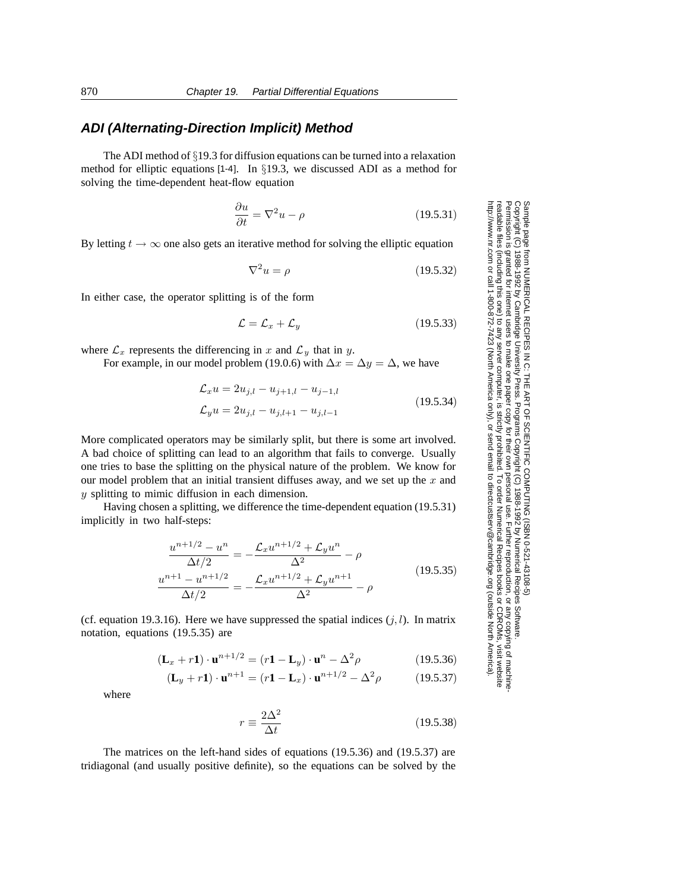## **ADI (Alternating-Direction Implicit) Method**

The ADI method of §19.3 for diffusion equations can be turned into a relaxation method for elliptic equations [1-4]. In §19.3, we discussed ADI as a method for solving the time-dependent heat-flow equation

$$
\frac{\partial u}{\partial t} = \nabla^2 u - \rho \tag{19.5.31}
$$

By letting  $t \to \infty$  one also gets an iterative method for solving the elliptic equation

$$
\nabla^2 u = \rho \tag{19.5.32}
$$

In either case, the operator splitting is of the form

$$
\mathcal{L} = \mathcal{L}_x + \mathcal{L}_y \tag{19.5.33}
$$

where  $\mathcal{L}_x$  represents the differencing in x and  $\mathcal{L}_y$  that in y.

For example, in our model problem (19.0.6) with  $\Delta x = \Delta y = \Delta$ , we have

$$
\mathcal{L}_x u = 2u_{j,l} - u_{j+1,l} - u_{j-1,l}
$$
  
\n
$$
\mathcal{L}_y u = 2u_{j,l} - u_{j,l+1} - u_{j,l-1}
$$
\n(19.5.34)

More complicated operators may be similarly split, but there is some art involved. A bad choice of splitting can lead to an algorithm that fails to converge. Usually one tries to base the splitting on the physical nature of the problem. We know for our model problem that an initial transient diffuses away, and we set up the  $x$  and y splitting to mimic diffusion in each dimension.

Having chosen a splitting, we difference the time-dependent equation (19.5.31) implicitly in two half-steps:

$$
\frac{u^{n+1/2} - u^n}{\Delta t/2} = -\frac{\mathcal{L}_x u^{n+1/2} + \mathcal{L}_y u^n}{\Delta^2} - \rho
$$
\n
$$
\frac{u^{n+1} - u^{n+1/2}}{\Delta t/2} = -\frac{\mathcal{L}_x u^{n+1/2} + \mathcal{L}_y u^{n+1}}{\Delta^2} - \rho
$$
\n(19.5.35)

(cf. equation 19.3.16). Here we have suppressed the spatial indices  $(j, l)$ . In matrix notation, equations (19.5.35) are

$$
(\mathbf{L}_x + r\mathbf{1}) \cdot \mathbf{u}^{n+1/2} = (r\mathbf{1} - \mathbf{L}_y) \cdot \mathbf{u}^n - \Delta^2 \rho
$$
 (19.5.36)

$$
(\mathbf{L}_y + r\mathbf{1}) \cdot \mathbf{u}^{n+1} = (r\mathbf{1} - \mathbf{L}_x) \cdot \mathbf{u}^{n+1/2} - \Delta^2 \rho \tag{19.5.37}
$$

where

$$
r \equiv \frac{2\Delta^2}{\Delta t} \tag{19.5.38}
$$

The matrices on the left-hand sides of equations (19.5.36) and (19.5.37) are tridiagonal (and usually positive definite), so the equations can be solved by the

Copyright (C) 1988-1992 by Cambridge University Press.Sample page from NUMERICAL RECIPES IN C: THE ART OF SCIENTIFIC COMPUTING (ISBN 0-521-43108-5) http://www.nr.com or call 1-800-872-7423 (North America only),readable files (including this one) to any serverPermission is granted for internet users to make one paper copy for their own personal use. Further reproduction, or any copyin Copyright aged ardure ō from NUMERICAL RECIPES IN C. THE ART OF SCIENTIFIC COMPUTING (ISBN 0-521-43108-5)<br>1988-1992 by Cambridge University Press. Programs Copyright (C) 1988-1992 by Numerical Recipes Software computer, is strictly prohibited. To order Numerical Recipes booksPrograms Copyright (C) 1988-1992 by Numerical Recipes Software. or send email to directcustserv@cambridge.org (outside North America). or CDROMs, visit website g of machine